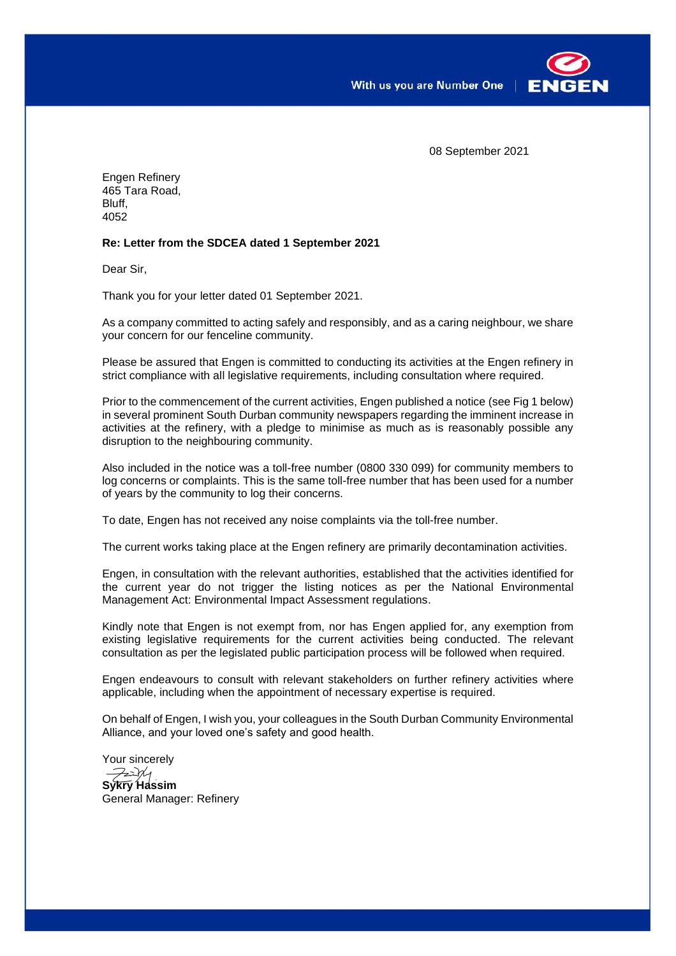

08 September 2021

Engen Refinery 465 Tara Road, Bluff, 4052

## **Re: Letter from the SDCEA dated 1 September 2021**

Dear Sir,

Thank you for your letter dated 01 September 2021.

As a company committed to acting safely and responsibly, and as a caring neighbour, we share your concern for our fenceline community.

Please be assured that Engen is committed to conducting its activities at the Engen refinery in strict compliance with all legislative requirements, including consultation where required.

Prior to the commencement of the current activities, Engen published a notice (see Fig 1 below) in several prominent South Durban community newspapers regarding the imminent increase in activities at the refinery, with a pledge to minimise as much as is reasonably possible any disruption to the neighbouring community.

Also included in the notice was a toll-free number (0800 330 099) for community members to log concerns or complaints. This is the same toll-free number that has been used for a number of years by the community to log their concerns.

To date, Engen has not received any noise complaints via the toll-free number.

The current works taking place at the Engen refinery are primarily decontamination activities.

Engen, in consultation with the relevant authorities, established that the activities identified for the current year do not trigger the listing notices as per the National Environmental Management Act: Environmental Impact Assessment regulations.

Kindly note that Engen is not exempt from, nor has Engen applied for, any exemption from existing legislative requirements for the current activities being conducted. The relevant consultation as per the legislated public participation process will be followed when required.

Engen endeavours to consult with relevant stakeholders on further refinery activities where applicable, including when the appointment of necessary expertise is required.

On behalf of Engen, I wish you, your colleagues in the South Durban Community Environmental Alliance, and your loved one's safety and good health.

Your sincerely  $7271$ **Sykry Hassim** General Manager: Refinery